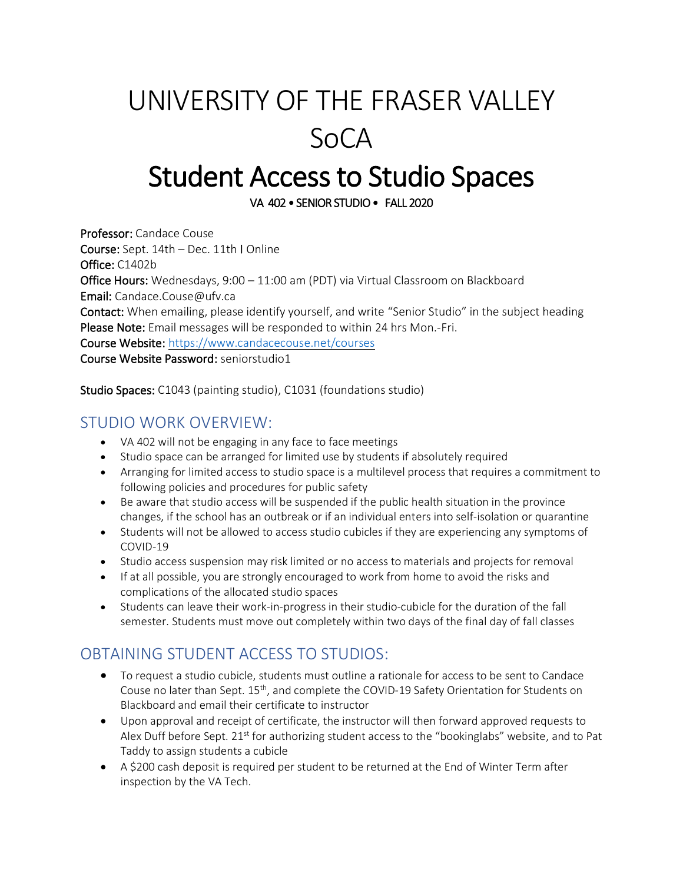# UNIVERSITY OF THE FRASER VALLEY SoCA

## Student Access to Studio Spaces

VA 402 • SENIOR STUDIO • FALL 2020

Professor: Candace Couse Course: Sept. 14th – Dec. 11th I Online Office: C1402b Office Hours: Wednesdays, 9:00 – 11:00 am (PDT) via Virtual Classroom on Blackboard Email: Candace.Couse@ufv.ca Contact: When emailing, please identify yourself, and write "Senior Studio" in the subject heading Please Note: Email messages will be responded to within 24 hrs Mon.-Fri. Course Website: <https://www.candacecouse.net/courses> Course Website Password: seniorstudio1

Studio Spaces: C1043 (painting studio), C1031 (foundations studio)

#### STUDIO WORK OVERVIEW:

- VA 402 will not be engaging in any face to face meetings
- Studio space can be arranged for limited use by students if absolutely required
- Arranging for limited access to studio space is a multilevel process that requires a commitment to following policies and procedures for public safety
- Be aware that studio access will be suspended if the public health situation in the province changes, if the school has an outbreak or if an individual enters into self-isolation or quarantine
- Students will not be allowed to access studio cubicles if they are experiencing any symptoms of COVID-19
- Studio access suspension may risk limited or no access to materials and projects for removal
- If at all possible, you are strongly encouraged to work from home to avoid the risks and complications of the allocated studio spaces
- Students can leave their work-in-progress in their studio-cubicle for the duration of the fall semester. Students must move out completely within two days of the final day of fall classes

### OBTAINING STUDENT ACCESS TO STUDIOS:

- To request a studio cubicle, students must outline a rationale for access to be sent to Candace Couse no later than Sept. 15th, and complete the COVID-19 Safety Orientation for Students on Blackboard and email their certificate to instructor
- Upon approval and receipt of certificate, the instructor will then forward approved requests to Alex Duff before Sept. 21<sup>st</sup> for authorizing student access to the "bookinglabs" website, and to Pat Taddy to assign students a cubicle
- A \$200 cash deposit is required per student to be returned at the End of Winter Term after inspection by the VA Tech.